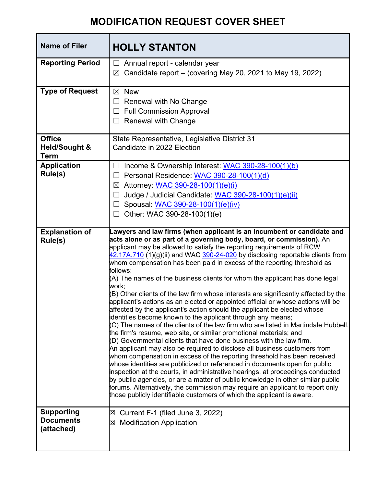## **MODIFICATION REQUEST COVER SHEET**

| <b>Name of Filer</b>                                              | <b>HOLLY STANTON</b>                                                                                                                                                                                                                                                                                                                                                                                                                                                                                                                                                                                                                                                                                                                                                                                                                                                                                                                                                                                                                                                                                                                                                                                                                                                                                                                                                                                                                                                     |
|-------------------------------------------------------------------|--------------------------------------------------------------------------------------------------------------------------------------------------------------------------------------------------------------------------------------------------------------------------------------------------------------------------------------------------------------------------------------------------------------------------------------------------------------------------------------------------------------------------------------------------------------------------------------------------------------------------------------------------------------------------------------------------------------------------------------------------------------------------------------------------------------------------------------------------------------------------------------------------------------------------------------------------------------------------------------------------------------------------------------------------------------------------------------------------------------------------------------------------------------------------------------------------------------------------------------------------------------------------------------------------------------------------------------------------------------------------------------------------------------------------------------------------------------------------|
| <b>Reporting Period</b>                                           | Annual report - calendar year<br>Candidate report – (covering May 20, 2021 to May 19, 2022)<br>$\boxtimes$                                                                                                                                                                                                                                                                                                                                                                                                                                                                                                                                                                                                                                                                                                                                                                                                                                                                                                                                                                                                                                                                                                                                                                                                                                                                                                                                                               |
| <b>Type of Request</b>                                            | <b>New</b><br>$\boxtimes$<br>Renewal with No Change<br><b>Full Commission Approval</b><br><b>Renewal with Change</b>                                                                                                                                                                                                                                                                                                                                                                                                                                                                                                                                                                                                                                                                                                                                                                                                                                                                                                                                                                                                                                                                                                                                                                                                                                                                                                                                                     |
| <b>Office</b><br><b>Held/Sought &amp;</b><br><b>Term</b>          | State Representative, Legislative District 31<br>Candidate in 2022 Election                                                                                                                                                                                                                                                                                                                                                                                                                                                                                                                                                                                                                                                                                                                                                                                                                                                                                                                                                                                                                                                                                                                                                                                                                                                                                                                                                                                              |
| <b>Application</b><br>Rule(s)<br><b>Explanation of</b><br>Rule(s) | Income & Ownership Interest: WAC 390-28-100(1)(b)<br>Personal Residence: WAC 390-28-100(1)(d)<br>Attorney: WAC 390-28-100(1)(e)(i)<br>$\boxtimes$<br>Judge / Judicial Candidate: WAC 390-28-100(1)(e)(ii)<br>Spousal: WAC 390-28-100(1)(e)(iv)<br>Other: WAC 390-28-100(1)(e)<br>Lawyers and law firms (when applicant is an incumbent or candidate and<br>acts alone or as part of a governing body, board, or commission). An                                                                                                                                                                                                                                                                                                                                                                                                                                                                                                                                                                                                                                                                                                                                                                                                                                                                                                                                                                                                                                          |
|                                                                   | applicant may be allowed to satisfy the reporting requirements of RCW<br>42.17A.710 (1)(g)(ii) and WAC 390-24-020 by disclosing reportable clients from<br>whom compensation has been paid in excess of the reporting threshold as<br>follows:<br>(A) The names of the business clients for whom the applicant has done legal<br>work;<br>(B) Other clients of the law firm whose interests are significantly affected by the<br>applicant's actions as an elected or appointed official or whose actions will be<br>affected by the applicant's action should the applicant be elected whose<br>identities become known to the applicant through any means;<br>$(C)$ The names of the clients of the law firm who are listed in Martindale Hubbell,<br>the firm's resume, web site, or similar promotional materials; and<br>(D) Governmental clients that have done business with the law firm.<br>An applicant may also be required to disclose all business customers from<br>whom compensation in excess of the reporting threshold has been received<br>whose identities are publicized or referenced in documents open for public<br>inspection at the courts, in administrative hearings, at proceedings conducted<br>by public agencies, or are a matter of public knowledge in other similar public<br>forums. Alternatively, the commission may require an applicant to report only<br>those publicly identifiable customers of which the applicant is aware. |
| <b>Supporting</b><br><b>Documents</b><br>(attached)               | Current F-1 (filed June 3, 2022)<br>⊠<br><b>Modification Application</b><br>冈                                                                                                                                                                                                                                                                                                                                                                                                                                                                                                                                                                                                                                                                                                                                                                                                                                                                                                                                                                                                                                                                                                                                                                                                                                                                                                                                                                                            |